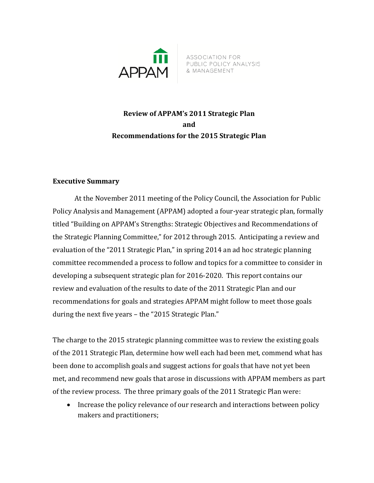

ASSOCIATION FOR ASSOCIATION FOR<br>PUBLIC POLICY ANALYSIS<br>& MANAGEMENT

# **Review of APPAM's 2011 Strategic Plan and Recommendations for the 2015 Strategic Plan**

### **Executive Summary**

At the November 2011 meeting of the Policy Council, the Association for Public Policy Analysis and Management (APPAM) adopted a four-year strategic plan, formally titled "Building on APPAM's Strengths: Strategic Objectives and Recommendations of the Strategic Planning Committee," for 2012 through 2015. Anticipating a review and evaluation of the "2011 Strategic Plan," in spring 2014 an ad hoc strategic planning committee recommended a process to follow and topics for a committee to consider in developing a subsequent strategic plan for 2016-2020. This report contains our review and evaluation of the results to date of the 2011 Strategic Plan and our recommendations for goals and strategies APPAM might follow to meet those goals during the next five years – the "2015 Strategic Plan."

The charge to the 2015 strategic planning committee was to review the existing goals of the 2011 Strategic Plan, determine how well each had been met, commend what has been done to accomplish goals and suggest actions for goals that have not yet been met, and recommend new goals that arose in discussions with APPAM members as part of the review process. The three primary goals of the 2011 Strategic Plan were:

• Increase the policy relevance of our research and interactions between policy makers and practitioners;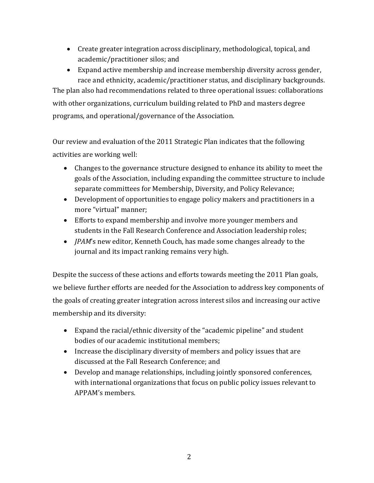- Create greater integration across disciplinary, methodological, topical, and academic/practitioner silos; and
- Expand active membership and increase membership diversity across gender, race and ethnicity, academic/practitioner status, and disciplinary backgrounds.

The plan also had recommendations related to three operational issues: collaborations with other organizations, curriculum building related to PhD and masters degree programs, and operational/governance of the Association.

Our review and evaluation of the 2011 Strategic Plan indicates that the following activities are working well:

- Changes to the governance structure designed to enhance its ability to meet the goals of the Association, including expanding the committee structure to include separate committees for Membership, Diversity, and Policy Relevance;
- Development of opportunities to engage policy makers and practitioners in a more "virtual" manner;
- Efforts to expand membership and involve more younger members and students in the Fall Research Conference and Association leadership roles;
- *JPAM*'s new editor, Kenneth Couch, has made some changes already to the journal and its impact ranking remains very high.

Despite the success of these actions and efforts towards meeting the 2011 Plan goals, we believe further efforts are needed for the Association to address key components of the goals of creating greater integration across interest silos and increasing our active membership and its diversity:

- Expand the racial/ethnic diversity of the "academic pipeline" and student bodies of our academic institutional members;
- Increase the disciplinary diversity of members and policy issues that are discussed at the Fall Research Conference; and
- Develop and manage relationships, including jointly sponsored conferences, with international organizations that focus on public policy issues relevant to APPAM's members.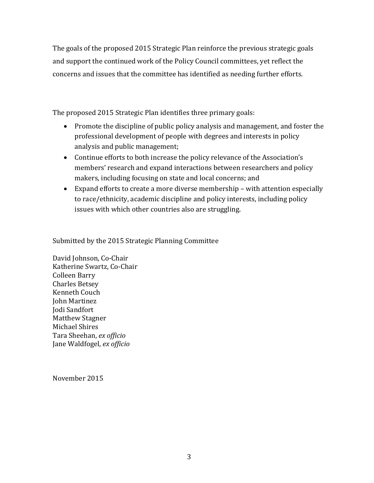The goals of the proposed 2015 Strategic Plan reinforce the previous strategic goals and support the continued work of the Policy Council committees, yet reflect the concerns and issues that the committee has identified as needing further efforts.

The proposed 2015 Strategic Plan identifies three primary goals:

- Promote the discipline of public policy analysis and management, and foster the professional development of people with degrees and interests in policy analysis and public management;
- Continue efforts to both increase the policy relevance of the Association's members' research and expand interactions between researchers and policy makers, including focusing on state and local concerns; and
- Expand efforts to create a more diverse membership with attention especially to race/ethnicity, academic discipline and policy interests, including policy issues with which other countries also are struggling.

Submitted by the 2015 Strategic Planning Committee

David Johnson, Co-Chair Katherine Swartz, Co-Chair Colleen Barry Charles Betsey Kenneth Couch John Martinez Jodi Sandfort Matthew Stagner Michael Shires Tara Sheehan, *ex officio* Jane Waldfogel, *ex officio*

November 2015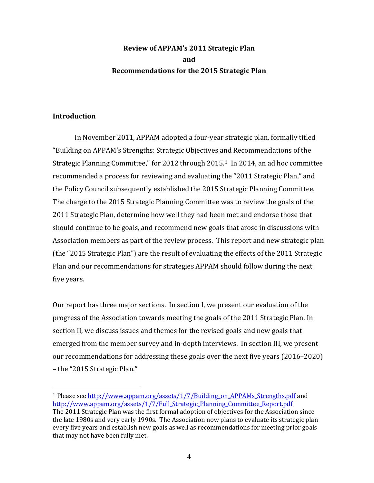# **Review of APPAM's 2011 Strategic Plan and Recommendations for the 2015 Strategic Plan**

#### **Introduction**

In November 2011, APPAM adopted a four-year strategic plan, formally titled "Building on APPAM's Strengths: Strategic Objectives and Recommendations of the Strategic Planning Committee," for 2012 through 2015.[1](#page-3-0) In 2014, an ad hoc committee recommended a process for reviewing and evaluating the "2011 Strategic Plan," and the Policy Council subsequently established the 2015 Strategic Planning Committee. The charge to the 2015 Strategic Planning Committee was to review the goals of the 2011 Strategic Plan, determine how well they had been met and endorse those that should continue to be goals, and recommend new goals that arose in discussions with Association members as part of the review process. This report and new strategic plan (the "2015 Strategic Plan") are the result of evaluating the effects of the 2011 Strategic Plan and our recommendations for strategies APPAM should follow during the next five years.

Our report has three major sections. In section I, we present our evaluation of the progress of the Association towards meeting the goals of the 2011 Strategic Plan. In section II, we discuss issues and themes for the revised goals and new goals that emerged from the member survey and in-depth interviews. In section III, we present our recommendations for addressing these goals over the next five years (2016–2020) – the "2015 Strategic Plan."

<span id="page-3-0"></span> <sup>1</sup> Please see [http://www.appam.org/assets/1/7/Building\\_on\\_APPAMs\\_Strengths.pdf](http://www.appam.org/assets/1/7/Building_on_APPAMs_Strengths.pdf) and [http://www.appam.org/assets/1/7/Full\\_Strategic\\_Planning\\_Committee\\_Report.pdf](http://www.appam.org/assets/1/7/Full_Strategic_Planning_Committee_Report.pdf)

The 2011 Strategic Plan was the first formal adoption of objectives for the Association since the late 1980s and very early 1990s. The Association now plans to evaluate its strategic plan every five years and establish new goals as well as recommendations for meeting prior goals that may not have been fully met.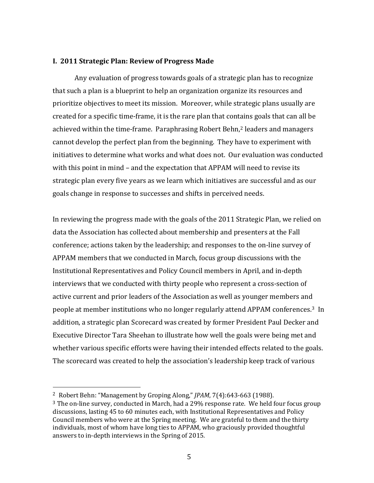#### **I. 2011 Strategic Plan: Review of Progress Made**

Any evaluation of progress towards goals of a strategic plan has to recognize that such a plan is a blueprint to help an organization organize its resources and prioritize objectives to meet its mission. Moreover, while strategic plans usually are created for a specific time-frame, it is the rare plan that contains goals that can all be achieved within the time-frame. Paraphrasing Robert Behn,<sup>[2](#page-4-0)</sup> leaders and managers cannot develop the perfect plan from the beginning. They have to experiment with initiatives to determine what works and what does not. Our evaluation was conducted with this point in mind – and the expectation that APPAM will need to revise its strategic plan every five years as we learn which initiatives are successful and as our goals change in response to successes and shifts in perceived needs.

In reviewing the progress made with the goals of the 2011 Strategic Plan, we relied on data the Association has collected about membership and presenters at the Fall conference; actions taken by the leadership; and responses to the on-line survey of APPAM members that we conducted in March, focus group discussions with the Institutional Representatives and Policy Council members in April, and in-depth interviews that we conducted with thirty people who represent a cross-section of active current and prior leaders of the Association as well as younger members and people at member institutions who no longer regularly attend APPAM conferences.[3](#page-4-1) In addition, a strategic plan Scorecard was created by former President Paul Decker and Executive Director Tara Sheehan to illustrate how well the goals were being met and whether various specific efforts were having their intended effects related to the goals. The scorecard was created to help the association's leadership keep track of various

<span id="page-4-0"></span> <sup>2</sup> Robert Behn: "Management by Groping Along," *JPAM*, 7(4):643-663 (1988).

<span id="page-4-1"></span> $3$  The on-line survey, conducted in March, had a 29% response rate. We held four focus group discussions, lasting 45 to 60 minutes each, with Institutional Representatives and Policy Council members who were at the Spring meeting. We are grateful to them and the thirty individuals, most of whom have long ties to APPAM, who graciously provided thoughtful answers to in-depth interviews in the Spring of 2015.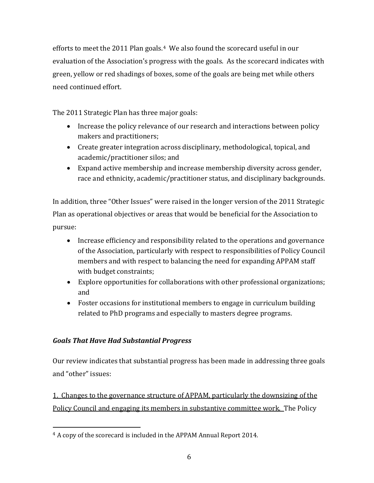efforts to meet the 2011 Plan goals.<sup>[4](#page-5-0)</sup> We also found the scorecard useful in our evaluation of the Association's progress with the goals. As the scorecard indicates with green, yellow or red shadings of boxes, some of the goals are being met while others need continued effort.

The 2011 Strategic Plan has three major goals:

- Increase the policy relevance of our research and interactions between policy makers and practitioners;
- Create greater integration across disciplinary, methodological, topical, and academic/practitioner silos; and
- Expand active membership and increase membership diversity across gender, race and ethnicity, academic/practitioner status, and disciplinary backgrounds.

In addition, three "Other Issues" were raised in the longer version of the 2011 Strategic Plan as operational objectives or areas that would be beneficial for the Association to pursue:

- Increase efficiency and responsibility related to the operations and governance of the Association, particularly with respect to responsibilities of Policy Council members and with respect to balancing the need for expanding APPAM staff with budget constraints;
- Explore opportunities for collaborations with other professional organizations; and
- Foster occasions for institutional members to engage in curriculum building related to PhD programs and especially to masters degree programs.

# *Goals That Have Had Substantial Progress*

Our review indicates that substantial progress has been made in addressing three goals and "other" issues:

1. Changes to the governance structure of APPAM, particularly the downsizing of the Policy Council and engaging its members in substantive committee work. The Policy

<span id="page-5-0"></span> <sup>4</sup> A copy of the scorecard is included in the APPAM Annual Report 2014.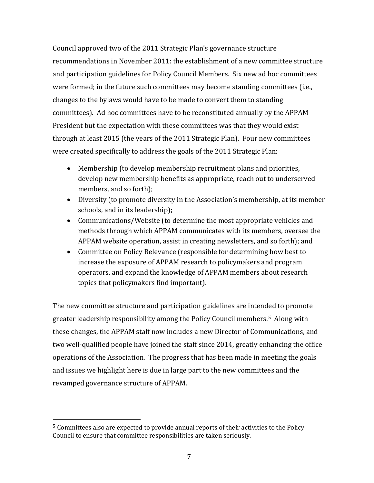Council approved two of the 2011 Strategic Plan's governance structure recommendations in November 2011: the establishment of a new committee structure and participation guidelines for Policy Council Members. Six new ad hoc committees were formed; in the future such committees may become standing committees (i.e., changes to the bylaws would have to be made to convert them to standing committees). Ad hoc committees have to be reconstituted annually by the APPAM President but the expectation with these committees was that they would exist through at least 2015 (the years of the 2011 Strategic Plan). Four new committees were created specifically to address the goals of the 2011 Strategic Plan:

- Membership (to develop membership recruitment plans and priorities, develop new membership benefits as appropriate, reach out to underserved members, and so forth);
- Diversity (to promote diversity in the Association's membership, at its member schools, and in its leadership);
- Communications/Website (to determine the most appropriate vehicles and methods through which APPAM communicates with its members, oversee the APPAM website operation, assist in creating newsletters, and so forth); and
- Committee on Policy Relevance (responsible for determining how best to increase the exposure of APPAM research to policymakers and program operators, and expand the knowledge of APPAM members about research topics that policymakers find important).

The new committee structure and participation guidelines are intended to promote greater leadership responsibility among the Policy Council members.[5](#page-6-0) Along with these changes, the APPAM staff now includes a new Director of Communications, and two well-qualified people have joined the staff since 2014, greatly enhancing the office operations of the Association. The progress that has been made in meeting the goals and issues we highlight here is due in large part to the new committees and the revamped governance structure of APPAM.

<span id="page-6-0"></span> <sup>5</sup> Committees also are expected to provide annual reports of their activities to the Policy Council to ensure that committee responsibilities are taken seriously.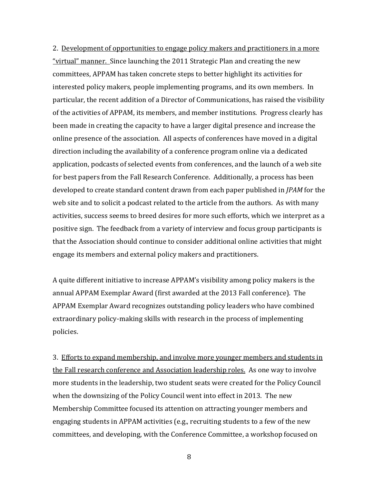2. Development of opportunities to engage policy makers and practitioners in a more "virtual" manner. Since launching the 2011 Strategic Plan and creating the new committees, APPAM has taken concrete steps to better highlight its activities for interested policy makers, people implementing programs, and its own members. In particular, the recent addition of a Director of Communications, has raised the visibility of the activities of APPAM, its members, and member institutions. Progress clearly has been made in creating the capacity to have a larger digital presence and increase the online presence of the association. All aspects of conferences have moved in a digital direction including the availability of a conference program online via a dedicated application, podcasts of selected events from conferences, and the launch of a web site for best papers from the Fall Research Conference. Additionally, a process has been developed to create standard content drawn from each paper published in *JPAM* for the web site and to solicit a podcast related to the article from the authors. As with many activities, success seems to breed desires for more such efforts, which we interpret as a positive sign. The feedback from a variety of interview and focus group participants is that the Association should continue to consider additional online activities that might engage its members and external policy makers and practitioners.

A quite different initiative to increase APPAM's visibility among policy makers is the annual APPAM Exemplar Award (first awarded at the 2013 Fall conference). The APPAM Exemplar Award recognizes outstanding policy leaders who have combined extraordinary policy-making skills with research in the process of implementing policies.

3. Efforts to expand membership, and involve more younger members and students in the Fall research conference and Association leadership roles. As one way to involve more students in the leadership, two student seats were created for the Policy Council when the downsizing of the Policy Council went into effect in 2013. The new Membership Committee focused its attention on attracting younger members and engaging students in APPAM activities (e.g., recruiting students to a few of the new committees, and developing, with the Conference Committee, a workshop focused on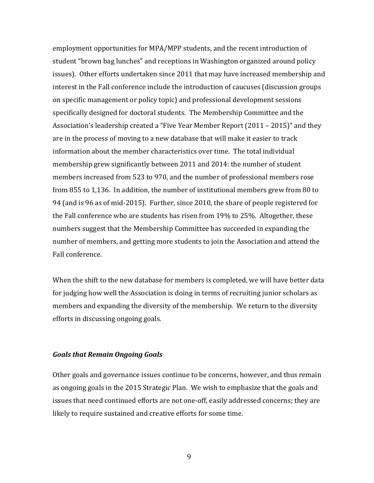employment opportunities for MPA/MPP students, and the recent introduction of student "brown bag lunches" and receptions in Washington organized around policy issues). Other efforts undertaken since 2011 that may have increased membership and interest in the Fall conference include the introduction of caucuses (discussion groups on specific management or policy topic) and professional development sessions specifically designed for doctoral students. The Membership Committee and the Association's leadership created a "Five Year Member Report (2011 – 2015)" and they are in the process of moving to a new database that will make it easier to track information about the member characteristics over time. The total individual membership grew significantly between 2011 and 2014: the number of student members increased from 523 to 970, and the number of professional members rose from 855 to 1,136. In addition, the number of institutional members grew from 80 to 94 (and is 96 as of mid-2015). Further, since 2010, the share of people registered for the Fall conference who are students has risen from 19% to 25%. Altogether, these numbers suggest that the Membership Committee has succeeded in expanding the number of members, and getting more students to join the Association and attend the Fall conference.

When the shift to the new database for members is completed, we will have better data for judging how well the Association is doing in terms of recruiting junior scholars as members and expanding the diversity of the membership. We return to the diversity efforts in discussing ongoing goals.

#### *Goals that Remain Ongoing Goals*

Other goals and governance issues continue to be concerns, however, and thus remain as ongoing goals in the 2015 Strategic Plan. We wish to emphasize that the goals and issues that need continued efforts are not one-off, easily addressed concerns; they are likely to require sustained and creative efforts for some time.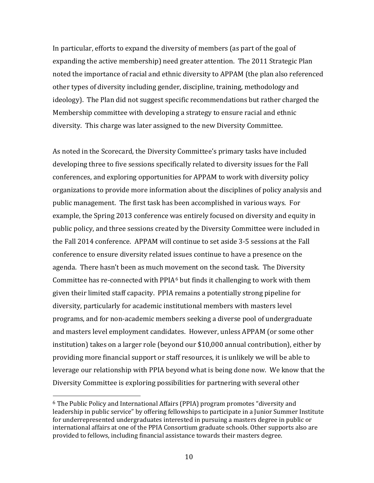In particular, efforts to expand the diversity of members (as part of the goal of expanding the active membership) need greater attention. The 2011 Strategic Plan noted the importance of racial and ethnic diversity to APPAM (the plan also referenced other types of diversity including gender, discipline, training, methodology and ideology). The Plan did not suggest specific recommendations but rather charged the Membership committee with developing a strategy to ensure racial and ethnic diversity. This charge was later assigned to the new Diversity Committee.

As noted in the Scorecard, the Diversity Committee's primary tasks have included developing three to five sessions specifically related to diversity issues for the Fall conferences, and exploring opportunities for APPAM to work with diversity policy organizations to provide more information about the disciplines of policy analysis and public management. The first task has been accomplished in various ways. For example, the Spring 2013 conference was entirely focused on diversity and equity in public policy, and three sessions created by the Diversity Committee were included in the Fall 2014 conference. APPAM will continue to set aside 3-5 sessions at the Fall conference to ensure diversity related issues continue to have a presence on the agenda. There hasn't been as much movement on the second task. The Diversity Committee has re-connected with PPIA[6](#page-9-0) but finds it challenging to work with them given their limited staff capacity. PPIA remains a potentially strong pipeline for diversity, particularly for academic institutional members with masters level programs, and for non-academic members seeking a diverse pool of undergraduate and masters level employment candidates. However, unless APPAM (or some other institution) takes on a larger role (beyond our \$10,000 annual contribution), either by providing more financial support or staff resources, it is unlikely we will be able to leverage our relationship with PPIA beyond what is being done now. We know that the Diversity Committee is exploring possibilities for partnering with several other

<span id="page-9-0"></span> <sup>6</sup> The Public Policy and International Affairs (PPIA) program promotes "diversity and leadership in public service" by offering fellowships to participate in a Junior Summer Institute for underrepresented undergraduates interested in pursuing a masters degree in public or international affairs at one of the PPIA Consortium graduate schools. Other supports also are provided to fellows, including financial assistance towards their masters degree.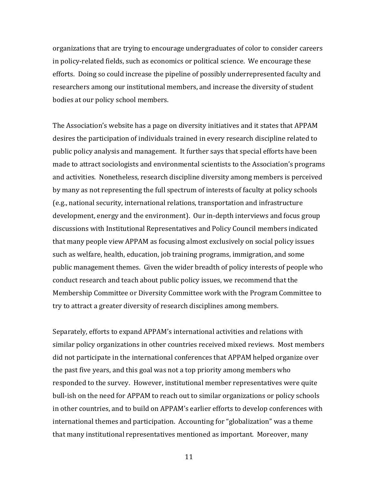organizations that are trying to encourage undergraduates of color to consider careers in policy-related fields, such as economics or political science. We encourage these efforts. Doing so could increase the pipeline of possibly underrepresented faculty and researchers among our institutional members, and increase the diversity of student bodies at our policy school members.

The Association's website has a page on diversity initiatives and it states that APPAM desires the participation of individuals trained in every research discipline related to public policy analysis and management. It further says that special efforts have been made to attract sociologists and environmental scientists to the Association's programs and activities. Nonetheless, research discipline diversity among members is perceived by many as not representing the full spectrum of interests of faculty at policy schools (e.g., national security, international relations, transportation and infrastructure development, energy and the environment). Our in-depth interviews and focus group discussions with Institutional Representatives and Policy Council members indicated that many people view APPAM as focusing almost exclusively on social policy issues such as welfare, health, education, job training programs, immigration, and some public management themes. Given the wider breadth of policy interests of people who conduct research and teach about public policy issues, we recommend that the Membership Committee or Diversity Committee work with the Program Committee to try to attract a greater diversity of research disciplines among members.

Separately, efforts to expand APPAM's international activities and relations with similar policy organizations in other countries received mixed reviews. Most members did not participate in the international conferences that APPAM helped organize over the past five years, and this goal was not a top priority among members who responded to the survey. However, institutional member representatives were quite bull-ish on the need for APPAM to reach out to similar organizations or policy schools in other countries, and to build on APPAM's earlier efforts to develop conferences with international themes and participation. Accounting for "globalization" was a theme that many institutional representatives mentioned as important. Moreover, many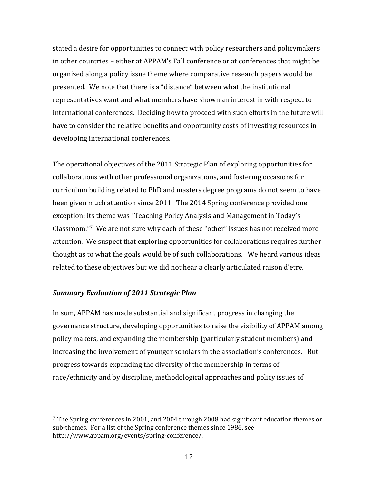stated a desire for opportunities to connect with policy researchers and policymakers in other countries – either at APPAM's Fall conference or at conferences that might be organized along a policy issue theme where comparative research papers would be presented. We note that there is a "distance" between what the institutional representatives want and what members have shown an interest in with respect to international conferences. Deciding how to proceed with such efforts in the future will have to consider the relative benefits and opportunity costs of investing resources in developing international conferences.

The operational objectives of the 2011 Strategic Plan of exploring opportunities for collaborations with other professional organizations, and fostering occasions for curriculum building related to PhD and masters degree programs do not seem to have been given much attention since 2011. The 2014 Spring conference provided one exception: its theme was "Teaching Policy Analysis and Management in Today's Classroom."[7](#page-11-0) We are not sure why each of these "other" issues has not received more attention. We suspect that exploring opportunities for collaborations requires further thought as to what the goals would be of such collaborations. We heard various ideas related to these objectives but we did not hear a clearly articulated raison d'etre.

## *Summary Evaluation of 2011 Strategic Plan*

In sum, APPAM has made substantial and significant progress in changing the governance structure, developing opportunities to raise the visibility of APPAM among policy makers, and expanding the membership (particularly student members) and increasing the involvement of younger scholars in the association's conferences. But progress towards expanding the diversity of the membership in terms of race/ethnicity and by discipline, methodological approaches and policy issues of

<span id="page-11-0"></span> <sup>7</sup> The Spring conferences in 2001, and 2004 through 2008 had significant education themes or sub-themes. For a list of the Spring conference themes since 1986, see http://www.appam.org/events/spring-conference/.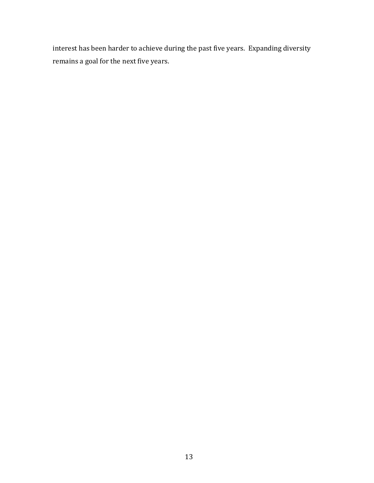interest has been harder to achieve during the past five years. Expanding diversity remains a goal for the next five years.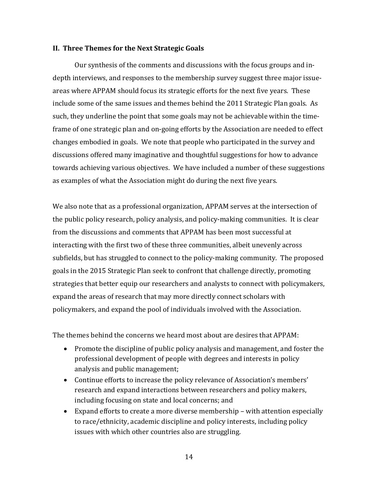#### **II. Three Themes for the Next Strategic Goals**

Our synthesis of the comments and discussions with the focus groups and indepth interviews, and responses to the membership survey suggest three major issueareas where APPAM should focus its strategic efforts for the next five years. These include some of the same issues and themes behind the 2011 Strategic Plan goals. As such, they underline the point that some goals may not be achievable within the timeframe of one strategic plan and on-going efforts by the Association are needed to effect changes embodied in goals. We note that people who participated in the survey and discussions offered many imaginative and thoughtful suggestions for how to advance towards achieving various objectives. We have included a number of these suggestions as examples of what the Association might do during the next five years.

We also note that as a professional organization, APPAM serves at the intersection of the public policy research, policy analysis, and policy-making communities. It is clear from the discussions and comments that APPAM has been most successful at interacting with the first two of these three communities, albeit unevenly across subfields, but has struggled to connect to the policy-making community. The proposed goals in the 2015 Strategic Plan seek to confront that challenge directly, promoting strategies that better equip our researchers and analysts to connect with policymakers, expand the areas of research that may more directly connect scholars with policymakers, and expand the pool of individuals involved with the Association.

The themes behind the concerns we heard most about are desires that APPAM:

- Promote the discipline of public policy analysis and management, and foster the professional development of people with degrees and interests in policy analysis and public management;
- Continue efforts to increase the policy relevance of Association's members' research and expand interactions between researchers and policy makers, including focusing on state and local concerns; and
- Expand efforts to create a more diverse membership with attention especially to race/ethnicity, academic discipline and policy interests, including policy issues with which other countries also are struggling.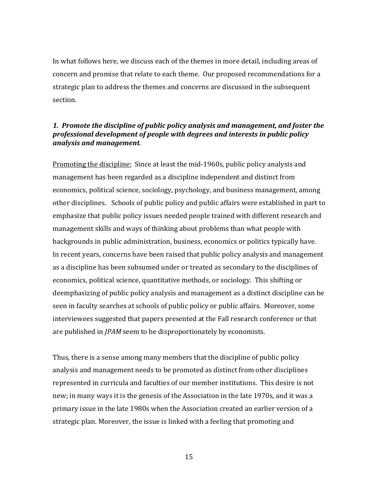In what follows here, we discuss each of the themes in more detail, including areas of concern and promise that relate to each theme. Our proposed recommendations for a strategic plan to address the themes and concerns are discussed in the subsequent section.

### *1. Promote the discipline of public policy analysis and management, and foster the professional development of people with degrees and interests in public policy analysis and management*.

Promoting the discipline: Since at least the mid-1960s, public policy analysis and management has been regarded as a discipline independent and distinct from economics, political science, sociology, psychology, and business management, among other disciplines. Schools of public policy and public affairs were established in part to emphasize that public policy issues needed people trained with different research and management skills and ways of thinking about problems than what people with backgrounds in public administration, business, economics or politics typically have. In recent years, concerns have been raised that public policy analysis and management as a discipline has been subsumed under or treated as secondary to the disciplines of economics, political science, quantitative methods, or sociology. This shifting or deemphasizing of public policy analysis and management as a distinct discipline can be seen in faculty searches at schools of public policy or public affairs. Moreover, some interviewees suggested that papers presented at the Fall research conference or that are published in *JPAM* seem to be disproportionately by economists.

Thus, there is a sense among many members that the discipline of public policy analysis and management needs to be promoted as distinct from other disciplines represented in curricula and faculties of our member institutions. This desire is not new; in many ways it is the genesis of the Association in the late 1970s, and it was a primary issue in the late 1980s when the Association created an earlier version of a strategic plan. Moreover, the issue is linked with a feeling that promoting and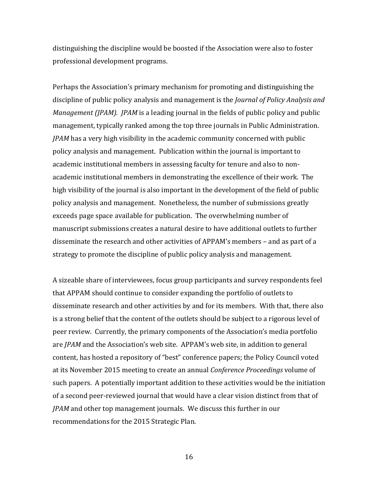distinguishing the discipline would be boosted if the Association were also to foster professional development programs.

Perhaps the Association's primary mechanism for promoting and distinguishing the discipline of public policy analysis and management is the *Journal of Policy Analysis and Management (JPAM). JPAM* is a leading journal in the fields of public policy and public management, typically ranked among the top three journals in Public Administration. *JPAM* has a very high visibility in the academic community concerned with public policy analysis and management. Publication within the journal is important to academic institutional members in assessing faculty for tenure and also to nonacademic institutional members in demonstrating the excellence of their work. The high visibility of the journal is also important in the development of the field of public policy analysis and management. Nonetheless, the number of submissions greatly exceeds page space available for publication. The overwhelming number of manuscript submissions creates a natural desire to have additional outlets to further disseminate the research and other activities of APPAM's members – and as part of a strategy to promote the discipline of public policy analysis and management.

A sizeable share of interviewees, focus group participants and survey respondents feel that APPAM should continue to consider expanding the portfolio of outlets to disseminate research and other activities by and for its members. With that, there also is a strong belief that the content of the outlets should be subject to a rigorous level of peer review. Currently, the primary components of the Association's media portfolio are *JPAM* and the Association's web site. APPAM's web site, in addition to general content, has hosted a repository of "best" conference papers; the Policy Council voted at its November 2015 meeting to create an annual *Conference Proceedings* volume of such papers. A potentially important addition to these activities would be the initiation of a second peer-reviewed journal that would have a clear vision distinct from that of *JPAM* and other top management journals. We discuss this further in our recommendations for the 2015 Strategic Plan.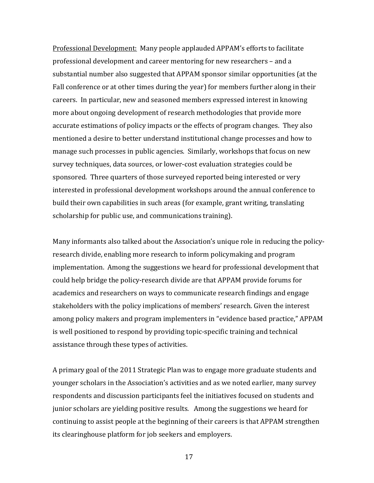Professional Development: Many people applauded APPAM's efforts to facilitate professional development and career mentoring for new researchers – and a substantial number also suggested that APPAM sponsor similar opportunities (at the Fall conference or at other times during the year) for members further along in their careers. In particular, new and seasoned members expressed interest in knowing more about ongoing development of research methodologies that provide more accurate estimations of policy impacts or the effects of program changes. They also mentioned a desire to better understand institutional change processes and how to manage such processes in public agencies. Similarly, workshops that focus on new survey techniques, data sources, or lower-cost evaluation strategies could be sponsored. Three quarters of those surveyed reported being interested or very interested in professional development workshops around the annual conference to build their own capabilities in such areas (for example, grant writing, translating scholarship for public use, and communications training).

Many informants also talked about the Association's unique role in reducing the policyresearch divide, enabling more research to inform policymaking and program implementation. Among the suggestions we heard for professional development that could help bridge the policy-research divide are that APPAM provide forums for academics and researchers on ways to communicate research findings and engage stakeholders with the policy implications of members' research. Given the interest among policy makers and program implementers in "evidence based practice," APPAM is well positioned to respond by providing topic-specific training and technical assistance through these types of activities.

A primary goal of the 2011 Strategic Plan was to engage more graduate students and younger scholars in the Association's activities and as we noted earlier, many survey respondents and discussion participants feel the initiatives focused on students and junior scholars are yielding positive results. Among the suggestions we heard for continuing to assist people at the beginning of their careers is that APPAM strengthen its clearinghouse platform for job seekers and employers.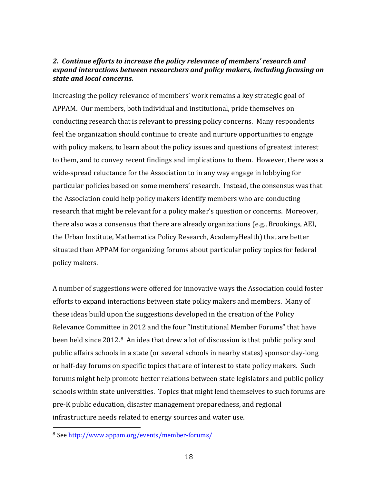## *2. Continue efforts to increase the policy relevance of members' research and expand interactions between researchers and policy makers, including focusing on state and local concerns.*

Increasing the policy relevance of members' work remains a key strategic goal of APPAM. Our members, both individual and institutional, pride themselves on conducting research that is relevant to pressing policy concerns. Many respondents feel the organization should continue to create and nurture opportunities to engage with policy makers, to learn about the policy issues and questions of greatest interest to them, and to convey recent findings and implications to them. However, there was a wide-spread reluctance for the Association to in any way engage in lobbying for particular policies based on some members' research. Instead, the consensus was that the Association could help policy makers identify members who are conducting research that might be relevant for a policy maker's question or concerns. Moreover, there also was a consensus that there are already organizations (e.g., Brookings, AEI, the Urban Institute, Mathematica Policy Research, AcademyHealth) that are better situated than APPAM for organizing forums about particular policy topics for federal policy makers.

A number of suggestions were offered for innovative ways the Association could foster efforts to expand interactions between state policy makers and members. Many of these ideas build upon the suggestions developed in the creation of the Policy Relevance Committee in 2012 and the four "Institutional Member Forums" that have been held since 2012.<sup>[8](#page-17-0)</sup> An idea that drew a lot of discussion is that public policy and public affairs schools in a state (or several schools in nearby states) sponsor day-long or half-day forums on specific topics that are of interest to state policy makers. Such forums might help promote better relations between state legislators and public policy schools within state universities. Topics that might lend themselves to such forums are pre-K public education, disaster management preparedness, and regional infrastructure needs related to energy sources and water use.

<span id="page-17-0"></span> <sup>8</sup> See<http://www.appam.org/events/member-forums/>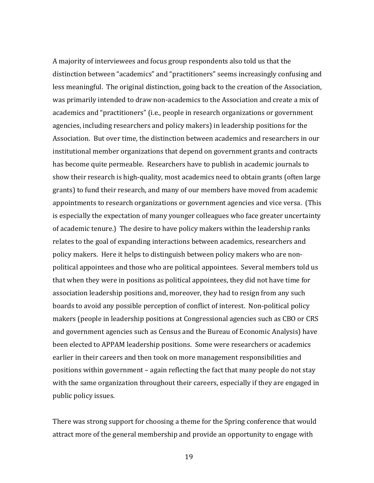A majority of interviewees and focus group respondents also told us that the distinction between "academics" and "practitioners" seems increasingly confusing and less meaningful. The original distinction, going back to the creation of the Association, was primarily intended to draw non-academics to the Association and create a mix of academics and "practitioners" (i.e., people in research organizations or government agencies, including researchers and policy makers) in leadership positions for the Association. But over time, the distinction between academics and researchers in our institutional member organizations that depend on government grants and contracts has become quite permeable. Researchers have to publish in academic journals to show their research is high-quality, most academics need to obtain grants (often large grants) to fund their research, and many of our members have moved from academic appointments to research organizations or government agencies and vice versa. (This is especially the expectation of many younger colleagues who face greater uncertainty of academic tenure.) The desire to have policy makers within the leadership ranks relates to the goal of expanding interactions between academics, researchers and policy makers. Here it helps to distinguish between policy makers who are nonpolitical appointees and those who are political appointees. Several members told us that when they were in positions as political appointees, they did not have time for association leadership positions and, moreover, they had to resign from any such boards to avoid any possible perception of conflict of interest. Non-political policy makers (people in leadership positions at Congressional agencies such as CBO or CRS and government agencies such as Census and the Bureau of Economic Analysis) have been elected to APPAM leadership positions. Some were researchers or academics earlier in their careers and then took on more management responsibilities and positions within government – again reflecting the fact that many people do not stay with the same organization throughout their careers, especially if they are engaged in public policy issues.

There was strong support for choosing a theme for the Spring conference that would attract more of the general membership and provide an opportunity to engage with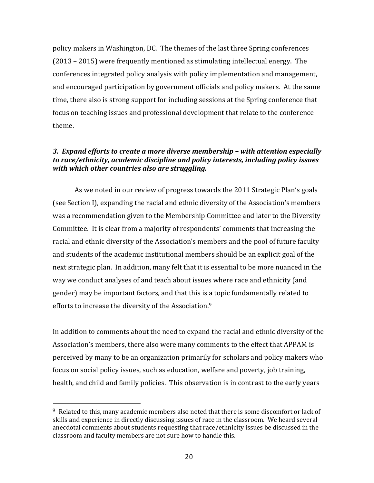policy makers in Washington, DC. The themes of the last three Spring conferences (2013 – 2015) were frequently mentioned as stimulating intellectual energy. The conferences integrated policy analysis with policy implementation and management, and encouraged participation by government officials and policy makers. At the same time, there also is strong support for including sessions at the Spring conference that focus on teaching issues and professional development that relate to the conference theme.

## *3. Expand efforts to create a more diverse membership – with attention especially to race/ethnicity, academic discipline and policy interests, including policy issues with which other countries also are struggling.*

As we noted in our review of progress towards the 2011 Strategic Plan's goals (see Section I), expanding the racial and ethnic diversity of the Association's members was a recommendation given to the Membership Committee and later to the Diversity Committee. It is clear from a majority of respondents' comments that increasing the racial and ethnic diversity of the Association's members and the pool of future faculty and students of the academic institutional members should be an explicit goal of the next strategic plan. In addition, many felt that it is essential to be more nuanced in the way we conduct analyses of and teach about issues where race and ethnicity (and gender) may be important factors, and that this is [a](#page-19-0) topic fundamentally related to efforts to increase the diversity of the Association. 9

In addition to comments about the need to expand the racial and ethnic diversity of the Association's members, there also were many comments to the effect that APPAM is perceived by many to be an organization primarily for scholars and policy makers who focus on social policy issues, such as education, welfare and poverty, job training, health, and child and family policies. This observation is in contrast to the early years

<span id="page-19-0"></span> <sup>9</sup> Related to this, many academic members also noted that there is some discomfort or lack of skills and experience in directly discussing issues of race in the classroom. We heard several anecdotal comments about students requesting that race/ethnicity issues be discussed in the classroom and faculty members are not sure how to handle this.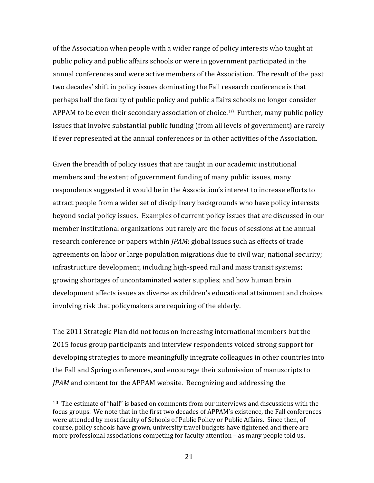of the Association when people with a wider range of policy interests who taught at public policy and public affairs schools or were in government participated in the annual conferences and were active members of the Association. The result of the past two decades' shift in policy issues dominating the Fall research conference is that perhaps half the faculty of public policy and public affairs schools no longer consider APPAM to be even their secondary association of choice.<sup>[10](#page-20-0)</sup> Further, many public policy issues that involve substantial public funding (from all levels of government) are rarely if ever represented at the annual conferences or in other activities of the Association.

Given the breadth of policy issues that are taught in our academic institutional members and the extent of government funding of many public issues, many respondents suggested it would be in the Association's interest to increase efforts to attract people from a wider set of disciplinary backgrounds who have policy interests beyond social policy issues. Examples of current policy issues that are discussed in our member institutional organizations but rarely are the focus of sessions at the annual research conference or papers within *JPAM*: global issues such as effects of trade agreements on labor or large population migrations due to civil war; national security; infrastructure development, including high-speed rail and mass transit systems; growing shortages of uncontaminated water supplies; and how human brain development affects issues as diverse as children's educational attainment and choices involving risk that policymakers are requiring of the elderly.

The 2011 Strategic Plan did not focus on increasing international members but the 2015 focus group participants and interview respondents voiced strong support for developing strategies to more meaningfully integrate colleagues in other countries into the Fall and Spring conferences, and encourage their submission of manuscripts to *JPAM* and content for the APPAM website. Recognizing and addressing the

<span id="page-20-0"></span> $10$  The estimate of "half" is based on comments from our interviews and discussions with the focus groups. We note that in the first two decades of APPAM's existence, the Fall conferences were attended by most faculty of Schools of Public Policy or Public Affairs. Since then, of course, policy schools have grown, university travel budgets have tightened and there are more professional associations competing for faculty attention – as many people told us.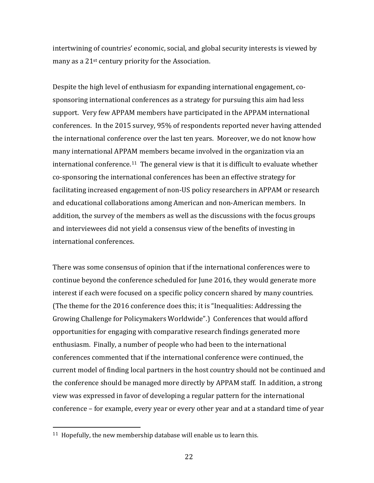intertwining of countries' economic, social, and global security interests is viewed by many as a 21st century priority for the Association.

Despite the high level of enthusiasm for expanding international engagement, cosponsoring international conferences as a strategy for pursuing this aim had less support. Very few APPAM members have participated in the APPAM international conferences. In the 2015 survey, 95% of respondents reported never having attended the international conference over the last ten years. Moreover, we do not know how many international APPAM members became involved in the organization via an international conference.[11](#page-21-0) The general view is that it is difficult to evaluate whether co-sponsoring the international conferences has been an effective strategy for facilitating increased engagement of non-US policy researchers in APPAM or research and educational collaborations among American and non-American members. In addition, the survey of the members as well as the discussions with the focus groups and interviewees did not yield a consensus view of the benefits of investing in international conferences.

There was some consensus of opinion that if the international conferences were to continue beyond the conference scheduled for June 2016, they would generate more interest if each were focused on a specific policy concern shared by many countries. (The theme for the 2016 conference does this; it is "Inequalities: Addressing the Growing Challenge for Policymakers Worldwide".) Conferences that would afford opportunities for engaging with comparative research findings generated more enthusiasm. Finally, a number of people who had been to the international conferences commented that if the international conference were continued, the current model of finding local partners in the host country should not be continued and the conference should be managed more directly by APPAM staff. In addition, a strong view was expressed in favor of developing a regular pattern for the international conference – for example, every year or every other year and at a standard time of year

<span id="page-21-0"></span><sup>&</sup>lt;sup>11</sup> Hopefully, the new membership database will enable us to learn this.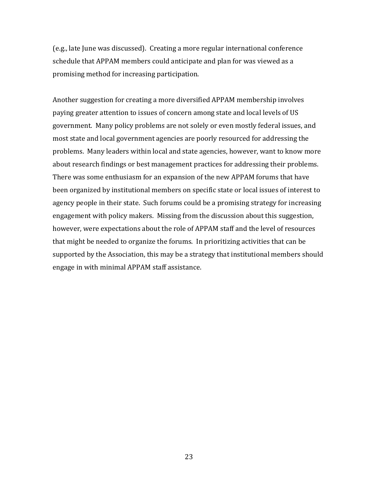(e.g., late June was discussed). Creating a more regular international conference schedule that APPAM members could anticipate and plan for was viewed as a promising method for increasing participation.

Another suggestion for creating a more diversified APPAM membership involves paying greater attention to issues of concern among state and local levels of US government. Many policy problems are not solely or even mostly federal issues, and most state and local government agencies are poorly resourced for addressing the problems. Many leaders within local and state agencies, however, want to know more about research findings or best management practices for addressing their problems. There was some enthusiasm for an expansion of the new APPAM forums that have been organized by institutional members on specific state or local issues of interest to agency people in their state. Such forums could be a promising strategy for increasing engagement with policy makers. Missing from the discussion about this suggestion, however, were expectations about the role of APPAM staff and the level of resources that might be needed to organize the forums. In prioritizing activities that can be supported by the Association, this may be a strategy that institutional members should engage in with minimal APPAM staff assistance.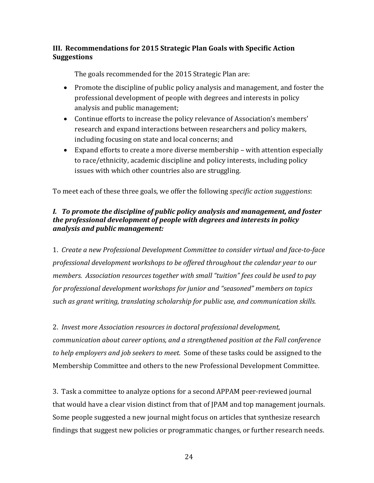## **III. Recommendations for 2015 Strategic Plan Goals with Specific Action Suggestions**

The goals recommended for the 2015 Strategic Plan are:

- Promote the discipline of public policy analysis and management, and foster the professional development of people with degrees and interests in policy analysis and public management;
- Continue efforts to increase the policy relevance of Association's members' research and expand interactions between researchers and policy makers, including focusing on state and local concerns; and
- Expand efforts to create a more diverse membership with attention especially to race/ethnicity, academic discipline and policy interests, including policy issues with which other countries also are struggling.

To meet each of these three goals, we offer the following *specific action suggestions*:

## *I. To promote the discipline of public policy analysis and management, and foster the professional development of people with degrees and interests in policy analysis and public management:*

1. *Create a new Professional Development Committee to consider virtual and face-to-face professional development workshops to be offered throughout the calendar year to our members. Association resources together with small "tuition" fees could be used to pay for professional development workshops for junior and "seasoned" members on topics such as grant writing, translating scholarship for public use, and communication skills.*

2. *Invest more Association resources in doctoral professional development, communication about career options, and a strengthened position at the Fall conference to help employers and job seekers to meet.* Some of these tasks could be assigned to the Membership Committee and others to the new Professional Development Committee.

3. Task a committee to analyze options for a second APPAM peer-reviewed journal that would have a clear vision distinct from that of JPAM and top management journals. Some people suggested a new journal might focus on articles that synthesize research findings that suggest new policies or programmatic changes, or further research needs.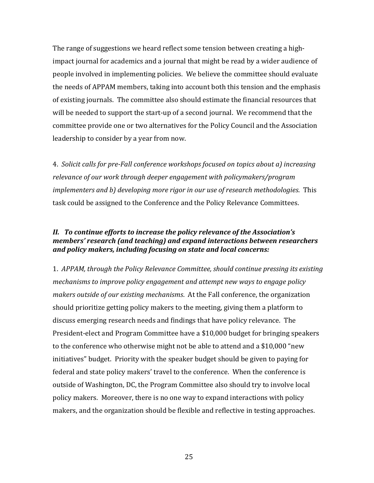The range of suggestions we heard reflect some tension between creating a highimpact journal for academics and a journal that might be read by a wider audience of people involved in implementing policies. We believe the committee should evaluate the needs of APPAM members, taking into account both this tension and the emphasis of existing journals. The committee also should estimate the financial resources that will be needed to support the start-up of a second journal. We recommend that the committee provide one or two alternatives for the Policy Council and the Association leadership to consider by a year from now.

4. *Solicit calls for pre-Fall conference workshops focused on topics about a) increasing relevance of our work through deeper engagement with policymakers/program implementers and b) developing more rigor in our use of research methodologies*. This task could be assigned to the Conference and the Policy Relevance Committees.

## *II. To continue efforts to increase the policy relevance of the Association's members' research (and teaching) and expand interactions between researchers and policy makers, including focusing on state and local concerns:*

1. *APPAM, through the Policy Relevance Committee, should continue pressing its existing mechanisms to improve policy engagement and attempt new ways to engage policy makers outside of our existing mechanisms*. At the Fall conference, the organization should prioritize getting policy makers to the meeting, giving them a platform to discuss emerging research needs and findings that have policy relevance. The President-elect and Program Committee have a \$10,000 budget for bringing speakers to the conference who otherwise might not be able to attend and a \$10,000 "new initiatives" budget. Priority with the speaker budget should be given to paying for federal and state policy makers' travel to the conference. When the conference is outside of Washington, DC, the Program Committee also should try to involve local policy makers. Moreover, there is no one way to expand interactions with policy makers, and the organization should be flexible and reflective in testing approaches.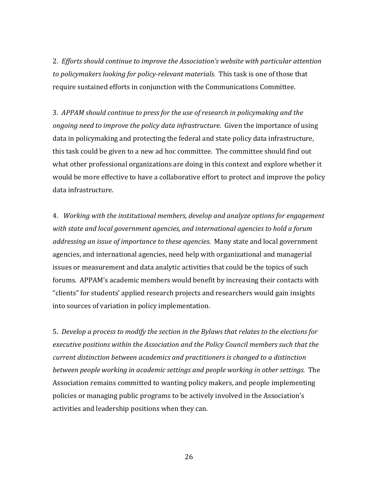2. *Efforts should continue to improve the Association's website with particular attention to policymakers looking for policy-relevant materials.* This task is one of those that require sustained efforts in conjunction with the Communications Committee.

3. *APPAM should continue to press for the use of research in policymaking and the ongoing need to improve the policy data infrastructure.* Given the importance of using data in policymaking and protecting the federal and state policy data infrastructure, this task could be given to a new ad hoc committee. The committee should find out what other professional organizations are doing in this context and explore whether it would be more effective to have a collaborative effort to protect and improve the policy data infrastructure.

4. *Working with the institutional members, develop and analyze options for engagement with state and local government agencies, and international agencies to hold a forum addressing an issue of importance to these agencies*. Many state and local government agencies, and international agencies, need help with organizational and managerial issues or measurement and data analytic activities that could be the topics of such forums. APPAM's academic members would benefit by increasing their contacts with "clients" for students' applied research projects and researchers would gain insights into sources of variation in policy implementation.

5. *Develop a process to modify the section in the Bylaws that relates to the elections for executive positions within the Association and the Policy Council members such that the current distinction between academics and practitioners is changed to a distinction between people working in academic settings and people working in other settings.* The Association remains committed to wanting policy makers, and people implementing policies or managing public programs to be actively involved in the Association's activities and leadership positions when they can.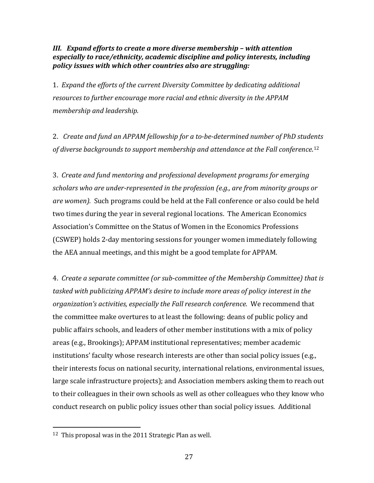## *III. Expand efforts to create a more diverse membership – with attention especially to race/ethnicity, academic discipline and policy interests, including policy issues with which other countries also are struggling:*

1. *Expand the efforts of the current Diversity Committee by dedicating additional resources to further encourage more racial and ethnic diversity in the APPAM membership and leadership.*

2. *Create and fund an APPAM fellowship for a to-be-determined number of PhD stud[ent](#page-26-0)s of diverse backgrounds to support membership and attendance at the Fall conference*. 12

3. *Create and fund mentoring and professional development programs for emerging scholars who are under-represented in the profession (e.g., are from minority groups or are women).* Such programs could be held at the Fall conference or also could be held two times during the year in several regional locations. The American Economics Association's Committee on the Status of Women in the Economics Professions (CSWEP) holds 2-day mentoring sessions for younger women immediately following the AEA annual meetings, and this might be a good template for APPAM.

4. *Create a separate committee (or sub-committee of the Membership Committee) that is tasked with publicizing APPAM's desire to include more areas of policy interest in the organization's activities, especially the Fall research conference*. We recommend that the committee make overtures to at least the following: deans of public policy and public affairs schools, and leaders of other member institutions with a mix of policy areas (e.g., Brookings); APPAM institutional representatives; member academic institutions' faculty whose research interests are other than social policy issues (e.g., their interests focus on national security, international relations, environmental issues, large scale infrastructure projects); and Association members asking them to reach out to their colleagues in their own schools as well as other colleagues who they know who conduct research on public policy issues other than social policy issues. Additional

<span id="page-26-0"></span> <sup>12</sup> This proposal was in the 2011 Strategic Plan as well.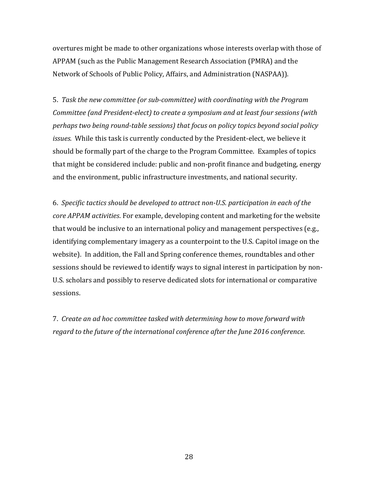overtures might be made to other organizations whose interests overlap with those of APPAM (such as the Public Management Research Association (PMRA) and the Network of Schools of Public Policy, Affairs, and Administration (NASPAA)).

5. *Task the new committee (or sub-committee) with coordinating with the Program Committee (and President-elect) to create a symposium and at least four sessions (with perhaps two being round-table sessions) that focus on policy topics beyond social policy issues.* While this task is currently conducted by the President-elect, we believe it should be formally part of the charge to the Program Committee. Examples of topics that might be considered include: public and non-profit finance and budgeting, energy and the environment, public infrastructure investments, and national security.

6. *Specific tactics should be developed to attract non-U.S. participation in each of the core APPAM activities*. For example, developing content and marketing for the website that would be inclusive to an international policy and management perspectives (e.g., identifying complementary imagery as a counterpoint to the U.S. Capitol image on the website). In addition, the Fall and Spring conference themes, roundtables and other sessions should be reviewed to identify ways to signal interest in participation by non-U.S. scholars and possibly to reserve dedicated slots for international or comparative sessions.

7. *Create an ad hoc committee tasked with determining how to move forward with regard to the future of the international conference after the June 2016 conference*.